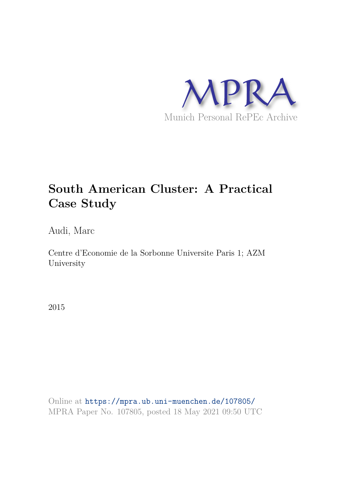

# **South American Cluster: A Practical Case Study**

Audi, Marc

Centre d'Economie de la Sorbonne Universite Paris 1; AZM University

2015

Online at https://mpra.ub.uni-muenchen.de/107805/ MPRA Paper No. 107805, posted 18 May 2021 09:50 UTC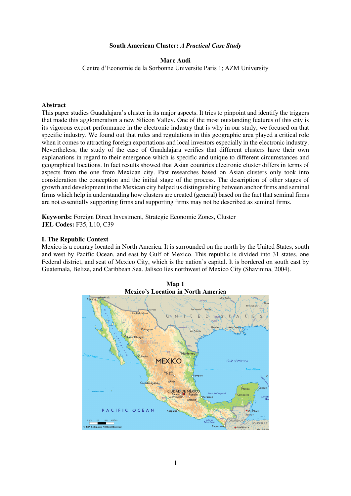#### **South American Cluster:** *A Practical Case Study*

#### **Marc Audi**

Centre d'Economie de la Sorbonne Universite Paris 1; AZM University

#### **Abstract**

This paper studies Guadalajara's cluster in its major aspects. It tries to pinpoint and identify the triggers that made this agglomeration a new Silicon Valley. One of the most outstanding features of this city is its vigorous export performance in the electronic industry that is why in our study, we focused on that specific industry. We found out that rules and regulations in this geographic area played a critical role when it comes to attracting foreign exportations and local investors especially in the electronic industry. Nevertheless, the study of the case of Guadalajara verifies that different clusters have their own explanations in regard to their emergence which is specific and unique to different circumstances and geographical locations. In fact results showed that Asian countries electronic cluster differs in terms of aspects from the one from Mexican city. Past researches based on Asian clusters only took into consideration the conception and the initial stage of the process. The description of other stages of growth and development in the Mexican city helped us distinguishing between anchor firms and seminal firms which help in understanding how clusters are created (general) based on the fact that seminal firms are not essentially supporting firms and supporting firms may not be described as seminal firms.

**Keywords:** Foreign Direct Investment, Strategic Economic Zones, Cluster **JEL Codes:** F35, L10, C39

#### **I. The Republic Context**

Mexico is a country located in North America. It is surrounded on the north by the United States, south and west by Pacific Ocean, and east by Gulf of Mexico. This republic is divided into 31 states, one Federal district, and seat of Mexico City, which is the nation's capital. It is bordered on south east by Guatemala, Belize, and Caribbean Sea. Jalisco lies northwest of Mexico City (Shavinina, 2004).

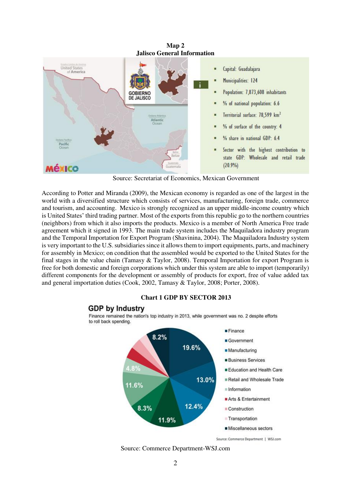

Source: Secretariat of Economics, Mexican Government

According to Potter and Miranda (2009), the Mexican economy is regarded as one of the largest in the world with a diversified structure which consists of services, manufacturing, foreign trade, commerce and tourism, and accounting. Mexico is strongly recognized as an upper middle-income country which is United States' third trading partner. Most of the exports from this republic go to the northern countries (neighbors) from which it also imports the products. Mexico is a member of North America Free trade agreement which it signed in 1993. The main trade system includes the Maquiladora industry program and the Temporal Importation for Export Program (Shavinina, 2004). The Maquiladora Industry system is very important to the U.S. subsidiaries since it allows them to import equipments, parts, and machinery for assembly in Mexico; on condition that the assembled would be exported to the United States for the final stages in the value chain (Tamasy  $& Taylor, 2008$ ). Temporal Importation for export Program is free for both domestic and foreign corporations which under this system are able to import (temporarily) different components for the development or assembly of products for export, free of value added tax and general importation duties (Cook, 2002, Tamasy & Taylor, 2008; Porter, 2008).

#### **Chart 1 GDP BY SECTOR 2013**

## **GDP by Industry**

Finance remained the nation's top industry in 2013, while government was no. 2 despite efforts to roll back spending.



Source: Commerce Department-WSJ.com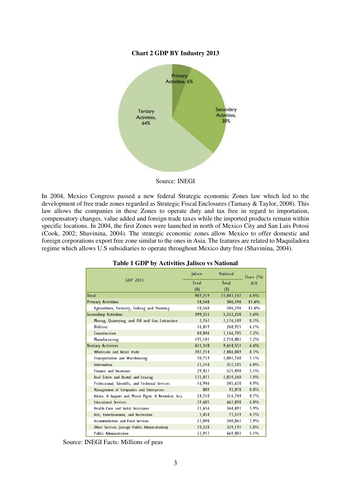#### **Chart 2 GDP BY Industry 2013**



Source: INEGI

In 2004, Mexico Congress passed a new federal Strategic economic Zones law which led to the development of free trade zones regarded as Strategic Fiscal Enclosures (Tamasy & Taylor, 2008). This law allows the companies in these Zones to operate duty and tax free in regard to importation, compensatory changes, value added and foreign trade taxes while the imported products remain within specific locations. In 2004, the first Zones were launched in north of Mexico City and San Luis Potosi (Cook, 2002; Shavinina, 2004). The strategic economic zones allow Mexico to offer domestic and foreign corporations export free zone similar to the ones in Asia. The features are related to Maquiladora regime which allows U.S subsidiaries to operate throughout Mexico duty free (Shavinina, 2004).

|                                                    | <b>lalisco</b> | <b>National</b> | Share $(\% )$ |  |
|----------------------------------------------------|----------------|-----------------|---------------|--|
| GDP 2013                                           | <b>Total</b>   | <b>Total</b>    | A/R           |  |
|                                                    | (A)            | (B)             |               |  |
| <b>Total</b>                                       | 989,219        | 15,443,167      | 6.4%          |  |
| <b>Primary Activities</b>                          | 58,568         | 506,396         | 11.6%         |  |
| Agriculture, Forestry, Fishing and Hunting         | 58,568         | 506,396         | 11.6%         |  |
| <b>Secondary Activities</b>                        | 299,332        | 5,322,220       | 5.6%          |  |
| Mining, Quarrying, and Oil and Gas Extraction      | 3,767          | 1,176,109       | 0.3%          |  |
| <b>Utilities</b>                                   | 16.419         | 268,925         | 6.1%          |  |
| Construction                                       | 84,046         | 1,166,705       | 7.2%          |  |
| Manufacturing                                      | 195,101        | 2,710,481       | 7.2%          |  |
| <b>Tertiary Activities</b>                         | 631,318        | 9,614,551       | 6.6%          |  |
| Wholesale and Retail trade                         | 207,214        | 2,486,089       | 8.3%          |  |
| <b>Transportation and Warehousing</b>              | 50,719         | 1,001,760       | 5.1%          |  |
| Information                                        | 21,318         | 357,185         | 6.0%          |  |
| <b>Finance and Insurance</b>                       | 29,427         | 535,440         | 5.5%          |  |
| Real Estate and Rental and Leasing                 | 135,477        | 1,839,260       | 7.4%          |  |
| Professional, Scientific, and Technical Services   | 16,946         | 345,630         | 4.9%          |  |
| Management of Companies and Enterprises            | 889            | 92.078          | $0.0\%$       |  |
| Admin. & Support and Waste Mgmt. & Remediat. Svcs. | 24,310         | 516,744         | 4.7%          |  |
| <b>Educational Services</b>                        | 39,685         | 662,898         | 6.0%          |  |
| Health Care and Social Assistance                  | 21,656         | 364,491         | 5.9%          |  |
| Arts, Entertainment, and Recreation                | 3,434          | 73,519          | 4.7%          |  |
| <b>Accommodation and Food Services</b>             | 27,098         | 340,863         | 7.9%          |  |
| Other Services (except Public Administration)      | 19,228         | 329,191         | 5.8%          |  |
| <b>Public Administration</b>                       | 33,917         | 669,403         | 5.1%          |  |

#### **Table 1 GDP by Activities Jalisco vs National**

Source: INEGI Facts: Millions of peas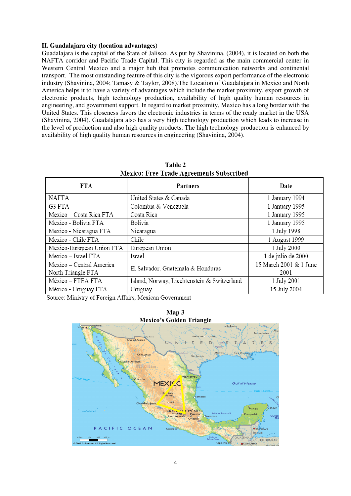# **II. Guadalajara city (location advantages)**

Guadalajara is the capital of the State of Jalisco. As put by Shavinina, (2004), it is located on both the NAFTA corridor and Pacific Trade Capital. This city is regarded as the main commercial center in Western Central Mexico and a major hub that promotes communication networks and continental transport. The most outstanding feature of this city is the vigorous export performance of the electronic industry (Shavinina, 2004; Tamasy & Taylor, 2008).The Location of Guadalajara in Mexico and North America helps it to have a variety of advantages which include the market proximity, export growth of electronic products, high technology production, availability of high quality human resources in engineering, and government support. In regard to market proximity, Mexico has a long border with the United States. This closeness favors the electronic industries in terms of the ready market in the USA (Shavinina, 2004). Guadalajara also has a very high technology production which leads to increase in the level of production and also high quality products. The high technology production is enhanced by availability of high quality human resources in engineering (Shavinina, 2004).

| FTA.                      | <b>Partners</b>                             | Date                   |  |
|---------------------------|---------------------------------------------|------------------------|--|
| <b>NAFTA</b>              | United States & Canada                      | 1 January 1994         |  |
| G3 FTA                    | Colombia & Venezuela                        | 1 January 1995         |  |
| Mexico – Costa Rica FTA   | Costa Rica                                  | 1 January 1995         |  |
| Mexico - Bolivia FTA      | Bolivia                                     | 1 January 1995         |  |
| Mexico - Nicaragua FTA    | Nicaragua                                   | 1 July 1998            |  |
| Mexico - Chile FTA        | Chile                                       | 1 August 1999          |  |
| Mexico-European Union FTA | European Union                              | 1 July 2000            |  |
| Mexico - Israel FTA       | Israel                                      | 1 de julio de 2000     |  |
| Mexico - Central America  | El Salvador, Guatemala & Honduras           | 15 March 2001 & 1 June |  |
| North Triangle FTA        |                                             | 2001                   |  |
| México - FTEA FTA         | Island, Norway, Liechtenstein & Switzerland | 1 July 2001            |  |
| México - Uruguay FTA      | Uruguay                                     | 15 July 2004           |  |

**Table 2 Mexico: Free Trade Agreements Subscribed** 

Source: Ministry of Foreign Affairs, Mexican Government



**Map 3 Mexico's Golden Triangle**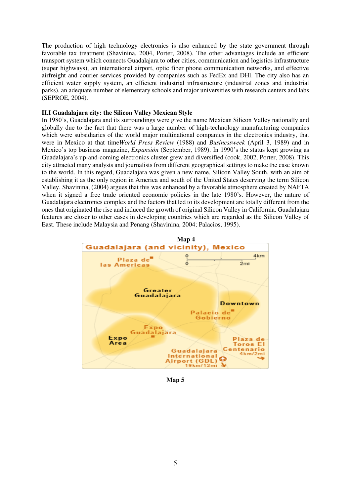The production of high technology electronics is also enhanced by the state government through favorable tax treatment (Shavinina, 2004, Porter, 2008). The other advantages include an efficient transport system which connects Guadalajara to other cities, communication and logistics infrastructure (super highways), an international airport, optic fiber phone communication networks, and effective airfreight and courier services provided by companies such as FedEx and DHl. The city also has an efficient water supply system, an efficient industrial infrastructure (industrial zones and industrial parks), an adequate number of elementary schools and major universities with research centers and labs (SEPROE, 2004).

# **II.I Guadalajara city: the Silicon Valley Mexican Style**

In 1980's, Guadalajara and its surroundings were give the name Mexican Silicon Valley nationally and globally due to the fact that there was a large number of high-technology manufacturing companies which were subsidiaries of the world major multinational companies in the electronics industry, that were in Mexico at that time*World Press Review* (1988) and *Businessweek* (April 3, 1989) and in Mexico's top business magazine, *Expansión* (September, 1989). In 1990's the status kept growing as Guadalajara's up-and-coming electronics cluster grew and diversified (cook, 2002, Porter, 2008). This city attracted many analysts and journalists from different geographical settings to make the case known to the world. In this regard, Guadalajara was given a new name, Silicon Valley South, with an aim of establishing it as the only region in America and south of the United States deserving the term Silicon Valley. Shavinina, (2004) argues that this was enhanced by a favorable atmosphere created by NAFTA when it signed a free trade oriented economic policies in the late 1980's. However, the nature of Guadalajara electronics complex and the factors that led to its development are totally different from the ones that originated the rise and induced the growth of original Silicon Valley in California. Guadalajara features are closer to other cases in developing countries which are regarded as the Silicon Valley of East. These include Malaysia and Penang (Shavinina, 2004; Palacios, 1995).



**Map 5**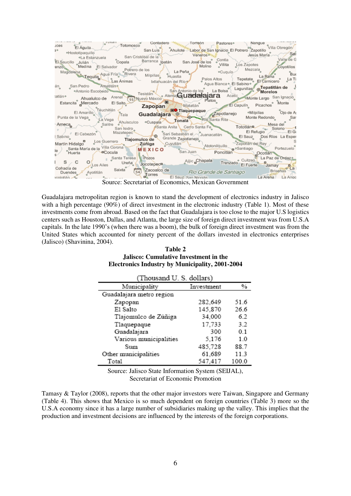| Torreón<br><b>College Co</b><br>Contadero<br>Nangue<br>Pastores <sup>o</sup><br>Totomosco<br><b>JCes</b><br>El Aguila<br>Villa Obregón/<br>San Luis <sup>9</sup> Ahuilote Labor de San Ignacio El Potrero Zapotillo <sup>Vina</sup> Veneros de San Ignacio El Potrero Zapotillo<br>ąo.<br>·Hostotipaguillo<br><del>∕</del> Saï<br>vipaquino<br>I estanzuela copala Barranca patán San José de los Contla<br>Julián Villita<br>Valle de G<br>El Saucillo Julián<br>Medina El Salvador<br>Villita Los Zapotes<br>Molino<br>Coyotillos<br>Magdalena Tequila Agua Fría Rivera Milpillas Huastla<br>Mezcala<br>· Cuquío<br>Bue<br>La Rana<br>Exposicaro de Ti<br>Palos Altos > Tepetate El Sahimas > Italianuacán del Río > Palos Altos > Tepetate El Sahimas + El Santicero |
|-------------------------------------------------------------------------------------------------------------------------------------------------------------------------------------------------------------------------------------------------------------------------------------------------------------------------------------------------------------------------------------------------------------------------------------------------------------------------------------------------------------------------------------------------------------------------------------------------------------------------------------------------------------------------------------------------------------------------------------------------------------------------|
| San Pedro Amatitán<br>án<br>San Antonio de los La Bolsa Lagunillas <b>o Tepatitlán de</b> Juan Antonio de la Bolsa Lagunillas <b>o Tepatitlán de</b> J<br>·Antonio Escobedo                                                                                                                                                                                                                                                                                                                                                                                                                                                                                                                                                                                             |
| Tesistan<br>Co <sup>o</sup> Atema <b>Guadalajara</b> Acatic Monte Largo San Ignacio a<br>ratlán∘<br>. Ahualulco de Arenal<br>(15 Nuevo México<br>Platos Monte<br>D <sub>2</sub><br>El Salto<br>Estancita Mercado<br>Matatlán<br>Zapopan                                                                                                                                                                                                                                                                                                                                                                                                                                                                                                                                 |
| Téuchitlán<br>Tala Guadalajara <sup>Do</sup> Tlad<br>De Tlaquepaque <i>Apotlanejo</i> Milpillas <sup>o</sup> ojo de Article de Cartes en 1990 de Article de Cartes de Cartes en 1990 de Article de Cartes de Cartes de Cartes de Cartes de Cartes de Cartes de Cartes de Cartes de Cartes de Carte<br>El Amarillo<br>Rio Santa Rita Monte Redondo<br>Punta de la Vega <sub>o</sub><br>Sar<br>La Vega<br>Salitre Ahuisculco .Cuspala Tonala                                                                                                                                                                                                                                                                                                                              |
| Ameca<br>Ahuisculco "Cuspala" Cerro Santa Fe<br>San Isidro Santa Anita Cerro Santa Fe<br>Mazatepec San Sebastián el Juanacatián El Sauz Dos Ríos La Esper<br>El Cabezón Mazatepec<br>Tlajomulco de<br>Sabino                                                                                                                                                                                                                                                                                                                                                                                                                                                                                                                                                            |
| Grande Zapotlanejo<br>Martin Hidalgo Los Guerrero<br>-Zapotlan del Rey<br>Cuyutlán<br><b>∠~ Zúñiga</b><br>Atotonilquillo<br>Santa María de la Villa Corona<br>Portezuelo                                                                                                                                                                                                                                                                                                                                                                                                                                                                                                                                                                                                |
| MEXICO San Juan<br>Poncitlán<br><b>¤Cocula</b><br>Huerta<br>Ocotlán<br>Santa Teresa Pozos<br>La Paz de Ordazo                                                                                                                                                                                                                                                                                                                                                                                                                                                                                                                                                                                                                                                           |
| · Cuitzeo.<br>Ajijic <sub>a</sub> Chapala<br>Trenzado<br>Ureña<br>El Fuerte Jamay<br>Jocotepec <sup>a</sup><br>Los Ailes                                                                                                                                                                                                                                                                                                                                                                                                                                                                                                                                                                                                                                                |
| Cofradía de<br>Saixta<br>Zacoalco de Rio Grande de Santiago<br><b>Briseñas</b><br>54<br>Ayotitlán<br>Duendes<br>Torres<br>La Arena<br>El Sauz, San Nicolás<br>and Contract of the contract of the contract of the contract of the contract of the contract of the contract of the contract of the contract of the contract of the contract of the contract of the contract of the contract o<br>a Ango<br>acolotlán. 25                                                                                                                                                                                                                                                                                                                                                 |
|                                                                                                                                                                                                                                                                                                                                                                                                                                                                                                                                                                                                                                                                                                                                                                         |

Source: Secretariat of Economics, Mexican Government

Guadalajara metropolitan region is known to stand the development of electronics industry in Jalisco with a high percentage (90%) of direct investment in the electronic industry (Table 1). Most of these investments come from abroad. Based on the fact that Guadalajara is too close to the major U.S logistics centers such as Houston, Dallas, and Atlanta, the large size of foreign direct investment was from U.S.A capitals. In the late 1990's (when there was a boom), the bulk of foreign direct investment was from the United States which accounted for ninety percent of the dollars invested in electronics enterprises (Jalisco) (Shavinina, 2004).

**Table 2 Jalisco: Cumulative Investment in the Electronics Industry by Municipality, 2001-2004**

| (Thousand U. S. dollars) |            |       |  |  |  |
|--------------------------|------------|-------|--|--|--|
| Municipality             | Investment | %     |  |  |  |
| Guadalajara metro region |            |       |  |  |  |
| Zapopan                  | 282,649    | 51.6  |  |  |  |
| E1 Salto                 | 145,870    | 26.6  |  |  |  |
| Tlajomulco de Zúñiga     | 34,000     | 62    |  |  |  |
| Tlaquepaque              | 17,733     | 3.2   |  |  |  |
| Guadalajara              | 300        | 01    |  |  |  |
| Various municipalities   | 5,176      | 10    |  |  |  |
| Sum                      | 485,728    | 88.7  |  |  |  |
| Other municipalities     | 61,689     | 11.3  |  |  |  |
| Total                    | 547,417    | 100.0 |  |  |  |

Source: Jalisco State Information System (SEIJAL), Secretariat of Economic Promotion

Tamasy & Taylor (2008), reports that the other major investors were Taiwan, Singapore and Germany (Table 4). This shows that Mexico is so much dependent on foreign countries (Table 3) more so the U.S.A economy since it has a large number of subsidiaries making up the valley. This implies that the production and investment decisions are influenced by the interests of the foreign corporations.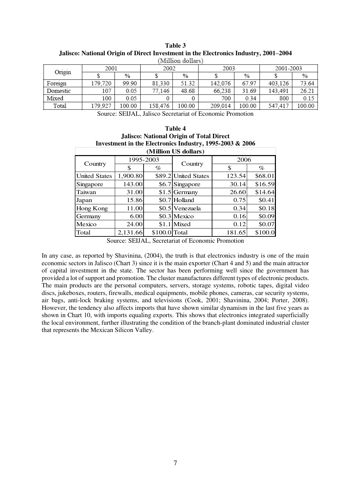| willion wonars |         |        |         |        |         |        |           |        |
|----------------|---------|--------|---------|--------|---------|--------|-----------|--------|
| Origin         | 2001    |        | 2002    |        | 2003    |        | 2001-2003 |        |
|                |         | %      |         | %      |         | %      |           | %      |
| Foreign        | 179,720 | 99.90  | 81.330  | 51.32  | 142,076 | 67.97  | 403.126   | 73.64  |
| Domestic       | 107     | 0.05   | 77,146  | 48.68  | 66.238  | 31.69  | 143.491   | 26.21  |
| Mixed          | 100     | 0.05   |         |        | 700     | 0.34   | 800       | 0.15   |
| Total          | 179,927 | 100.00 | 158,476 | 100.00 | 209.014 | 100.00 | 547.417   | 100.00 |

**Table 3 Jalisco: National Origin of Direct Investment in the Electronics Industry, 2001–2004** 

Source: SEIJAL, Jalisco Secretariat of Economic Promotion

| Table 4                                                  |  |  |  |  |
|----------------------------------------------------------|--|--|--|--|
| <b>Jalisco: National Origin of Total Direct</b>          |  |  |  |  |
| Investment in the Electronics Industry, 1995-2003 & 2006 |  |  |  |  |
|                                                          |  |  |  |  |

| (Million US dollars) |           |               |                      |        |         |
|----------------------|-----------|---------------|----------------------|--------|---------|
| Country              | 1995-2003 |               |                      | 2006   |         |
|                      | \$        | $\%$          | Country              | \$     | $\%$    |
| <b>United States</b> | 1,900.80  |               | \$89.2 United States | 123.54 | \$68.01 |
| Singapore            | 143.00    |               | \$6.7 Singapore      | 30.14  | \$16.59 |
| Taiwan               | 31.00     |               | $$1.5$ Germany       | 26.60  | \$14.64 |
| Japan                | 15.86     |               | \$0.7 Holland        | 0.75   | \$0.41  |
| Hong Kong            | 11.00     |               | \$0.5 Venezuela      | 0.34   | \$0.18  |
| Germany              | 6.00      |               | \$0.3 Mexico         | 0.16   | \$0.09  |
| Mexico               | 24.00     |               | \$1.1 Mixed          | 0.12   | \$0.07  |
| Total                | 2,131.66  | \$100.0 Total |                      | 181.65 | \$100.0 |

Source: SEIJAL, Secretariat of Economic Promotion

In any case, as reported by Shavinina, (2004), the truth is that electronics industry is one of the main economic sectors in Jalisco (Chart 3) since it is the main exporter (Chart 4 and 5) and the main attractor of capital investment in the state. The sector has been performing well since the government has provided a lot of support and promotion. The cluster manufactures different types of electronic products. The main products are the personal computers, servers, storage systems, robotic tapes, digital video discs, jukeboxes, routers, firewalls, medical equipments, mobile phones, cameras, car security systems, air bags, anti-lock braking systems, and televisions (Cook, 2001; Shavinina, 2004; Porter, 2008). However, the tendency also affects imports that have shown similar dynamism in the last five years as shown in Chart 10, with imports equaling exports. This shows that electronics integrated superficially the local environment, further illustrating the condition of the branch-plant dominated industrial cluster that represents the Mexican Silicon Valley.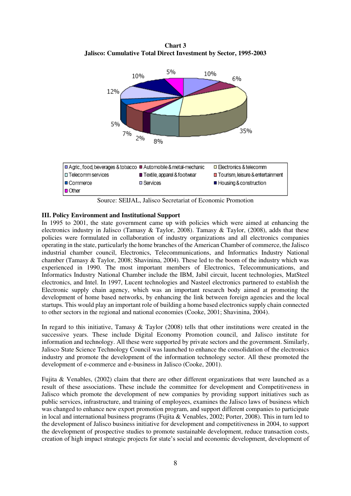**Chart 3 Jalisco: Cumulative Total Direct Investment by Sector, 1995-2003**



Source: SEIJAL, Jalisco Secretariat of Economic Promotion

# **III. Policy Environment and Institutional Support**

In 1995 to 2001, the state government came up with policies which were aimed at enhancing the electronics industry in Jalisco (Tamasy & Taylor, 2008). Tamasy & Taylor, (2008), adds that these policies were formulated in collaboration of industry organizations and all electronics companies operating in the state, particularly the home branches of the American Chamber of commerce, the Jalisco industrial chamber council, Electronics, Telecommunications, and Informatics Industry National chamber (Tamasy & Taylor, 2008; Shavinina, 2004). These led to the boom of the industry which was experienced in 1990. The most important members of Electronics, Telecommunications, and Informatics Industry National Chamber include the IBM, Jabil circuit, lucent technologies, MatSteel electronics, and Intel. In 1997, Lucent technologies and Nasteel electronics partnered to establish the Electronic supply chain agency, which was an important research body aimed at promoting the development of home based networks, by enhancing the link between foreign agencies and the local startups. This would play an important role of building a home based electronics supply chain connected to other sectors in the regional and national economies (Cooke, 2001; Shavinina, 2004).

In regard to this initiative, Tamasy & Taylor (2008) tells that other institutions were created in the successive years. These include Digital Economy Promotion council, and Jalisco institute for information and technology. All these were supported by private sectors and the government. Similarly, Jalisco State Science Technology Council was launched to enhance the consolidation of the electronics industry and promote the development of the information technology sector. All these promoted the development of e-commerce and e-business in Jalisco (Cooke, 2001).

Fujita & Venables, (2002) claim that there are other different organizations that were launched as a result of these associations. These include the committee for development and Competitiveness in Jalisco which promote the development of new companies by providing support initiatives such as public services, infrastructure, and training of employees, examines the Jalisco laws of business which was changed to enhance new export promotion program, and support different companies to participate in local and international business programs (Fujita & Venables, 2002; Porter, 2008). This in turn led to the development of Jalisco business initiative for development and competitiveness in 2004, to support the development of prospective studies to promote sustainable development, reduce transaction costs, creation of high impact strategic projects for state's social and economic development, development of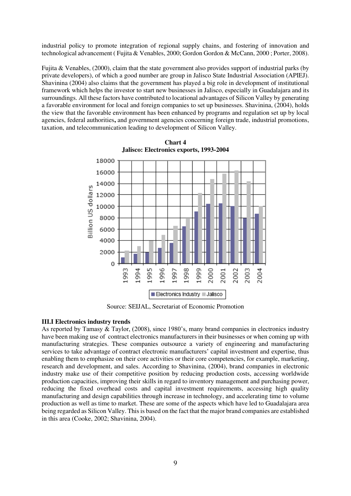industrial policy to promote integration of regional supply chains, and fostering of innovation and technological advancement ( Fujita & Venables, 2000; Gordon Gordon & McCann, 2000 ; Porter, 2008).

Fujita & Venables, (2000), claim that the state government also provides support of industrial parks (by private developers), of which a good number are group in Jalisco State Industrial Association (APIEJ). Shavinina (2004) also claims that the government has played a big role in development of institutional framework which helps the investor to start new businesses in Jalisco, especially in Guadalajara and its surroundings. All these factors have contributed to locational advantages of Silicon Valley by generating a favorable environment for local and foreign companies to set up businesses. Shavinina, (2004), holds the view that the favorable environment has been enhanced by programs and regulation set up by local agencies, federal authorities**,** and government agencies concerning foreign trade, industrial promotions, taxation, and telecommunication leading to development of Silicon Valley.



**Chart 4 Jalisco: Electronics exports, 1993-2004**

Source: SEIJAL, Secretariat of Economic Promotion

# **III.I Electronics industry trends**

As reported by Tamasy & Taylor, (2008), since 1980's, many brand companies in electronics industry have been making use of contract electronics manufacturers in their businesses or when coming up with manufacturing strategies. These companies outsource a variety of engineering and manufacturing services to take advantage of contract electronic manufacturers' capital investment and expertise, thus enabling them to emphasize on their core activities or their core competencies, for example, marketing, research and development, and sales. According to Shavinina, (2004), brand companies in electronic industry make use of their competitive position by reducing production costs, accessing worldwide production capacities, improving their skills in regard to inventory management and purchasing power, reducing the fixed overhead costs and capital investment requirements, accessing high quality manufacturing and design capabilities through increase in technology, and accelerating time to volume production as well as time to market. These are some of the aspects which have led to Guadalajara area being regarded as Silicon Valley. This is based on the fact that the major brand companies are established in this area (Cooke, 2002; Shavinina, 2004).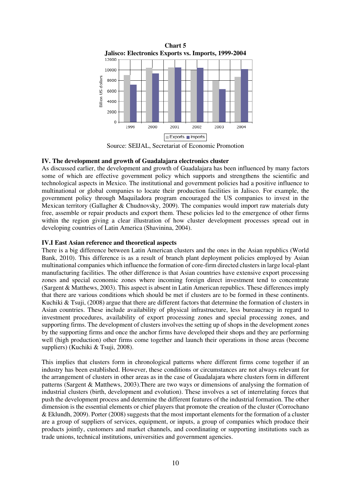

Source: SEIJAL, Secretariat of Economic Promotion

## **IV. The development and growth of Guadalajara electronics cluster**

As discussed earlier, the development and growth of Guadalajara has been influenced by many factors some of which are effective government policy which supports and strengthens the scientific and technological aspects in Mexico. The institutional and government policies had a positive influence to multinational or global companies to locate their production facilities in Jalisco. For example, the government policy through Maquiladora program encouraged the US companies to invest in the Mexican territory (Gallagher & Chudnovsky, 2009). The companies would import raw materials duty free, assemble or repair products and export them. These policies led to the emergence of other firms within the region giving a clear illustration of how cluster development processes spread out in developing countries of Latin America (Shavinina, 2004).

## **IV.I East Asian reference and theoretical aspects**

There is a big difference between Latin American clusters and the ones in the Asian republics (World Bank, 2010). This difference is as a result of branch plant deployment policies employed by Asian multinational companies which influence the formation of core-firm directed clusters in large local-plant manufacturing facilities. The other difference is that Asian countries have extensive export processing zones and special economic zones where incoming foreign direct investment tend to concentrate (Sargent & Matthews, 2003). This aspect is absent in Latin American republics. These differences imply that there are various conditions which should be met if clusters are to be formed in these continents. Kuchiki & Tsuji, (2008) argue that there are different factors that determine the formation of clusters in Asian countries. These include availability of physical infrastructure, less bureaucracy in regard to investment procedures, availability of export processing zones and special processing zones, and supporting firms. The development of clusters involves the setting up of shops in the development zones by the supporting firms and once the anchor firms have developed their shops and they are performing well (high production) other firms come together and launch their operations in those areas (become suppliers) (Kuchiki & Tsuji, 2008).

This implies that clusters form in chronological patterns where different firms come together if an industry has been established. However, these conditions or circumstances are not always relevant for the arrangement of clusters in other areas as in the case of Guadalajara where clusters form in different patterns (Sargent & Matthews, 2003).There are two ways or dimensions of analysing the formation of industrial clusters (birth, development and evolution). These involves a set of interrelating forces that push the development process and determine the different features of the industrial formation. The other dimension is the essential elements or chief players that promote the creation of the cluster (Corrochano & Eklundh, 2009). Porter (2008) suggests that the most important elements for the formation of a cluster are a group of suppliers of services, equipment, or inputs, a group of companies which produce their products jointly, customers and market channels, and coordinating or supporting institutions such as trade unions, technical institutions, universities and government agencies.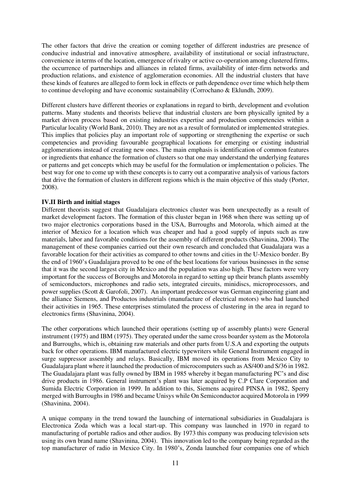The other factors that drive the creation or coming together of different industries are presence of conducive industrial and innovative atmosphere, availability of institutional or social infrastructure, convenience in terms of the location, emergence of rivalry or active co-operation among clustered firms, the occurrence of partnerships and alliances in related firms, availability of inter-firm networks and production relations, and existence of agglomeration economies. All the industrial clusters that have these kinds of features are alleged to form lock in effects or path dependence over time which help them to continue developing and have economic sustainability (Corrochano & Eklundh, 2009).

Different clusters have different theories or explanations in regard to birth, development and evolution patterns. Many students and theorists believe that industrial clusters are born physically ignited by a market driven process based on existing industries expertise and production competencies within a Particular locality (World Bank, 2010). They are not as a result of formulated or implemented strategies. This implies that policies play an important role of supporting or strengthening the expertise or such competencies and providing favourable geographical locations for emerging or existing industrial agglomerations instead of creating new ones. The main emphasis is identification of common features or ingredients that enhance the formation of clusters so that one may understand the underlying features or patterns and get concepts which may be useful for the formulation or implementation o policies. The best way for one to come up with these concepts is to carry out a comparative analysis of various factors that drive the formation of clusters in different regions which is the main objective of this study (Porter, 2008).

# **IV.II Birth and initial stages**

Different theorists suggest that Guadalajara electronics cluster was born unexpectedly as a result of market development factors. The formation of this cluster began in 1968 when there was setting up of two major electronics corporations based in the USA, Burroughs and Motorola, which aimed at the interior of Mexico for a location which was cheaper and had a good supply of inputs such as raw materials, labor and favorable conditions for the assembly of different products (Shavinina, 2004). The management of these companies carried out their own research and concluded that Guadalajara was a favorable location for their activities as compared to other towns and cities in the U-Mexico border. By the end of 1960's Guadalajara proved to be one of the best locations for various businesses in the sense that it was the second largest city in Mexico and the population was also high. These factors were very important for the success of Boroughs and Motorola in regard to setting up their branch plants assembly of semiconductors, microphones and radio sets, integrated circuits, minidiscs, microprocessors, and power supplies (Scott & Garofoli, 2007). An important predecessor was German engineering giant and the alliance Siemens, and Productos industrials (manufacture of electrical motors) who had launched their activities in 1965. These enterprises stimulated the process of clustering in the area in regard to electronics firms (Shavinina, 2004).

The other corporations which launched their operations (setting up of assembly plants) were General instrument (1975) and IBM (1975). They operated under the same cross boarder system as the Motorola and Burroughs, which is, obtaining raw materials and other parts from U.S.A and exporting the outputs back for other operations. IBM manufactured electric typewriters while General Instrument engaged in surge suppressor assembly and relays. Basically, IBM moved its operations from Mexico City to Guadalajara plant where it launched the production of microcomputers such as AS/400 and S/36 in 1982. The Guadalajara plant was fully owned by IBM in 1985 whereby it began manufacturing PC's and disc drive products in 1986. General instrument's plant was later acquired by C.P Clare Corporation and Sumida Electric Corporation in 1999. In addition to this, Siemens acquired PINSA in 1982, Sperry merged with Burroughs in 1986 and became Unisys while On Semiconductor acquired Motorola in 1999 (Shavinina, 2004).

A unique company in the trend toward the launching of international subsidiaries in Guadalajara is Electronica Zoda which was a local start-up. This company was launched in 1970 in regard to manufacturing of portable radios and other audios. By 1973 this company was producing television sets using its own brand name (Shavinina, 2004). This innovation led to the company being regarded as the top manufacturer of radio in Mexico City. In 1980's, Zonda launched four companies one of which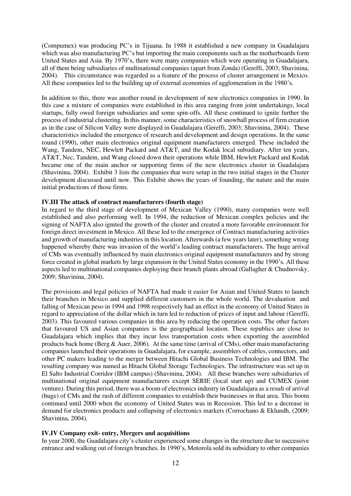(Compumex) was producing PC's in Tijuana. In 1988 it established a new company in Guadalajara which was also manufacturing PC's but importing the main components such as the motherboards form United States and Asia. By 1970's, there were many companies which were operating in Guadalajara, all of them being subsidiaries of multinational companies (apart from Zonda) (Gereffi, 2003; Shavinina, 2004). This circumstance was regarded as a feature of the process of cluster arrangement in Mexico. All these companies led to the building up of external economies of agglomeration in the 1980's.

In addition to this, there was another round in development of new electronics companies in 1990. In this case a mixture of companies were established in this area ranging from joint undertakings, local startups, fully owed foreign subsidiaries and some spin-offs. All these continued to ignite further the process of industrial clustering. In this manner, some characteristics of snowball process of firm creation as in the case of Silicon Valley were displayed in Guadalajara (Gereffi, 2003; Shavinina, 2004). These characteristics included the emergence of research and development and design operations. In the same round (1990), other main electronics original equipment manufacturers emerged. These included the Wang, Tandem, NEC, Hewlett Packard and AT&T, and the Kodak local subsidiary. After ten years, AT&T, Nec, Tandem, and Wang closed down their operations while IBM, Hewlett Packard and Kodak became one of the main anchor or supporting firms of the new electronics cluster in Guadalajara (Shavinina, 2004). Exhibit 3 lists the companies that were setup in the two initial stages in the Cluster development discussed until now. This Exhibit shows the years of founding, the nature and the main initial productions of those firms.

## **IV.III The attack of contract manufacturers (fourth stage)**

In regard to the third stage of development of Mexican Valley (1990), many companies were well established and also performing well. In 1994, the reduction of Mexican complex policies and the signing of NAFTA also ignited the growth of the cluster and created a more favorable environment for foreign direct investment in Mexico. All these led to the emergence of Contract manufacturing activities and growth of manufacturing industries in this location. Afterwards (a few years later), something wrong happened whereby there was invasion of the world's leading contract manufacturers. The huge arrival of CMs was eventually influenced by main electronics original equipment manufacturers and by strong force created in global markets by large expansion in the United States economy in the 1990's. All these aspects led to multinational companies deploying their branch plants abroad (Gallagher & Chudnovsky, 2009; Shavinina, 2004).

The provisions and legal policies of NAFTA had made it easier for Asian and United States to launch their branches in Mexico and supplied different customers in the whole world. The devaluation and falling of Mexican peso in 1994 and 1998 respectively had an effect in the economy of United States in regard to appreciation of the dollar which in turn led to reduction of prices of input and labour (Gereffi, 2003). This favoured various companies in this area by reducing the operation costs. The other factors that favoured US and Asian companies is the geographical location. These republics are close to Guadalajara which implies that they incur less transportation costs when exporting the assembled products back home (Berg & Auer, 2006). At the same time (arrival of CMs), other main manufacturing companies launched their operations in Guadalajara, for example, assemblers of cables, connectors, and other PC makers leading to the merger between Hitachi Global Business Technologies and IBM. The resulting company was named as Hitachi Global Storage Technologies. The infrastructure was set up in El Salto Industrial Corridor (IBM campus) (Shavinina, 2004). All these branches were subsidiaries of multinational original equipment manufacturers except SERIE (local start up) and CUMEX (joint venture). During this period, there was a boom of electronics industry in Guadalajara as a result of arrival (huge) of CMs and the rush of different companies to establish their businesses in that area. This boom continued until 2000 when the economy of United States was in Recession. This led to a decrease in demand for electronics products and collapsing of electronics markets (Corrochano & Eklundh, (2009; Shavinina, 2004).

# **IV.IV Company exit- entry, Mergers and acquisitions**

In year 2000, the Guadalajara city's cluster experienced some changes in the structure due to successive entrance and walking out of foreign branches. In 1990's, Motorola sold its subsidiary to other companies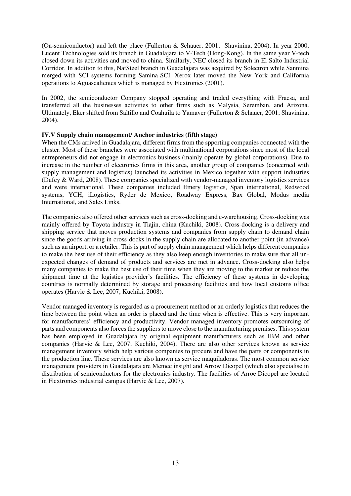(On-semiconductor) and left the place (Fullerton & Schauer, 2001; Shavinina, 2004). In year 2000, Lucent Technologies sold its branch in Guadalajara to V-Tech (Hong-Kong). In the same year V-tech closed down its activities and moved to china. Similarly, NEC closed its branch in El Salto Industrial Corridor. In addition to this, NatSteel branch in Guadalajara was acquired by Solectron while Sanmina merged with SCI systems forming Samina-SCI. Xerox later moved the New York and California operations to Aguascalientes which is managed by Flextronics (2001).

In 2002, the semiconductor Company stopped operating and traded everything with Fracsa, and transferred all the businesses activities to other firms such as Malysia, Seremban, and Arizona. Ultimately, Eker shifted from Saltillo and Coahuila to Yamaver (Fullerton & Schauer, 2001; Shavinina, 2004).

# **IV.V Supply chain management/ Anchor industries (fifth stage)**

When the CMs arrived in Guadalajara, different firms from the spporting companies connected with the cluster. Most of these branches were associated with multinational corporations since most of the local entrepreneurs did not engage in electronics business (mainly operate by global corporations). Due to increase in the number of electronics firms in this area, another group of companies (concerned with supply management and logistics) launched its activities in Mexico together with support industries (Dufey & Ward, 2008). These companies specialized with vendor-managed inventory logistics services and were international. These companies included Emery logistics, Span international, Redwood systems, YCH, iLogistics, Ryder de Mexico, Roadway Express, Bax Global, Modus media International, and Sales Links.

The companies also offered other services such as cross-docking and e-warehousing. Cross-docking was mainly offered by Toyota industry in Tiajin, china (Kuchiki, 2008). Cross-docking is a delivery and shipping service that moves production systems and companies from supply chain to demand chain since the goods arriving in cross-docks in the supply chain are allocated to another point (in advance) such as an airport, or a retailer. This is part of supply chain management which helps different companies to make the best use of their efficiency as they also keep enough inventories to make sure that all unexpected changes of demand of products and services are met in advance. Cross-docking also helps many companies to make the best use of their time when they are moving to the market or reduce the shipment time at the logistics provider's facilities. The efficiency of these systems in developing countries is normally determined by storage and processing facilities and how local customs office operates (Harvie & Lee, 2007; Kuchiki, 2008).

Vendor managed inventory is regarded as a procurement method or an orderly logistics that reduces the time between the point when an order is placed and the time when is effective. This is very important for manufacturers' efficiency and productivity. Vendor managed inventory promotes outsourcing of parts and components also forces the suppliers to move close to the manufacturing premises. This system has been employed in Guadalajara by original equipment manufacturers such as IBM and other companies (Harvie & Lee, 2007; Kuchiki, 2004). There are also other services known as service management inventory which help various companies to procure and have the parts or components in the production line. These services are also known as service maquiladoras. The most common service management providers in Guadalajara are Memec insight and Arrow Dicopel (which also specialise in distribution of semiconductors for the electronics industry. The facilities of Arroe Dicopel are located in Flextronics industrial campus (Harvie & Lee, 2007).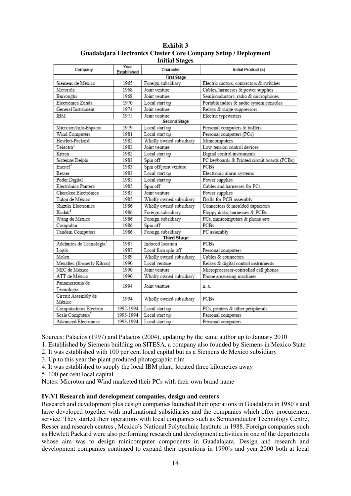| <b>Exhibit 3</b>                                                |
|-----------------------------------------------------------------|
| Guadalajara Electronics Cluster Core Company Setup / Deployment |
| <b>Initial Stages</b>                                           |

| Company                              | Year<br>Established | Character               | Initial Product (s)                          |  |  |
|--------------------------------------|---------------------|-------------------------|----------------------------------------------|--|--|
| <b>First Stage</b>                   |                     |                         |                                              |  |  |
| Siemens de Mexico                    | 1965                | Foreign subsidiary      | Electric motors, contractors & switches      |  |  |
| Motorola                             | 1968                | Joint venture           | Cables, hamesses & power supplies            |  |  |
| Burroughs                            | 1968                | Joint venture           | Semiconductors, radio & microphones          |  |  |
| Electrónica Zonda                    | 1970                | Local start up          | Portable radios & audio system consoles      |  |  |
| General Instrument                   | 1974                | Joint venture           | Relays & surge suppressors                   |  |  |
| <b>IBM</b>                           | 1975                | Joint venture           | Electric typewriters                         |  |  |
|                                      |                     | <b>Second Stage</b>     |                                              |  |  |
| Microton/Info-Espacio                | 1979                | Local start up          | Personal computers & buffers                 |  |  |
| Wind Computers                       | 1981                | Local start up          | Personal computers (PCs)                     |  |  |
| Hewlett-Packard                      | 1982                | Wholly owned subsidiary | Minicomputers                                |  |  |
| Telectra <sup>1</sup>                | 1982                | Joint venture           | Low-tension control devices                  |  |  |
| Kitron                               | 1982                | Local start up          | Digital control instruments                  |  |  |
| Sistemas Delphi                      | 1983                | Spin off                | PC keyboards & Printed circuit boards (PCBs) |  |  |
| Encited <sup>2</sup>                 | 1983                | Spin off/joint venture  | PCBs                                         |  |  |
| Resser                               | 1983                | Local start up          | Electronic alarm systems                     |  |  |
| Poder Digital                        | 1985                | Local start up          | Power supplies                               |  |  |
| Electrónica Pantera                  | 1985                | Spin off                | Cables and harnesses for PCs                 |  |  |
| Cherokee Electrónica                 | 1985                | Joint venture           | Power supplies                               |  |  |
| Tulon de México                      | 1985                | Wholly owned subsidiary | Drills for PCB assembly                      |  |  |
| Shizuki Electronics                  | 1986                | Wholly owned subsidiary | Connectors & moulded capacitors              |  |  |
| Kodak <sup>3</sup>                   | 1986                | Foreign subsidiary      | Floppy disks, harnesses & PCBs               |  |  |
| Wang de México                       | 1986                | Foreign subsidiary      | PCs, minicomputers & phone sets              |  |  |
| Compubur                             | 1986                | Spin off                | <b>PCBs</b>                                  |  |  |
| Tandem Computers                     | 1986                | Foreign subsidiary      | PC assembly                                  |  |  |
|                                      |                     | <b>Third Stage</b>      |                                              |  |  |
| Adelantos de Tecnología <sup>4</sup> | 1987                | Induced location        | <b>PCBs</b>                                  |  |  |
| Logix                                | 1987                | Local firm spin off     | Personal computers                           |  |  |
| Molex                                | 1989                | Wholly owned subsidiary | Cables & connectors                          |  |  |
| Mexaltec (formerly Kitron)           | 1990                | Local venture           | Relays & digital control instruments         |  |  |
| NEC de México                        | 1990                | Joint venture           | Microprocessor-controlled cell phones        |  |  |
| ATT de México                        | 1990                | Wholly owned subsidiary | Phone answering machines                     |  |  |
| Panamericana de                      | 1994                | Joint venture           | n.a.                                         |  |  |
| Tecnología                           |                     |                         |                                              |  |  |
| Circuit Assembly de                  | 1994                | Wholly owned subsidiary | PCBs                                         |  |  |
| México                               |                     |                         |                                              |  |  |
| Computadoras Electron                | 1992-1994           | Local start up          | PCs, printers & other peripherals            |  |  |
| Scale Computers <sup>3</sup>         | 1993-1994           | Local start up          | Personal computers                           |  |  |
| Advanced Electronics                 | 1993-1994           | Local start up          | Personal computers                           |  |  |

Sources: Palacios (1997) and Palacios (2004), updating by the same author up to January 2010

1. Established by Siemens building on SITESA, a company also founded by Siemens in Mexico State

- 2. It was established with 100 per cent local capital but as a Siemens de Mexico subsidiary
- 3. Up to this year the plant produced photographic film
- 4. It was established to supply the local IBM plant, located three kilometres away

5. 100 per cent local capital

Notes: Microton and Wind marketed their PCs with their own brand name

# **IV.VI Research and development companies, design and centers**

Research and development plus design companies launched their operations in Guadalajra in 1980's and have developed together with multinational subsidiaries and the companies which offer procurement service. They started their operations with local companies such as Semiconductor Technology Centre, Resser and research centres , Mexico's National Polytechnic Institute in 1988. Foreign companies such as Hewlett Packard were also performing research and development activities in one of the departments whose aim was to design minicomputer components in Guadalajara. Design and research and development companies continued to expand their operations in 1990's and year 2000 both at local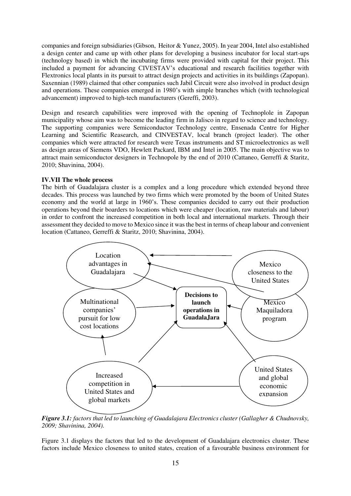companies and foreign subsidiaries (Gibson, Heitor & Yunez, 2005). In year 2004, Intel also established a design center and came up with other plans for developing a business incubator for local start-ups (technology based) in which the incubating firms were provided with capital for their project. This included a payment for advancing CIVESTAV's educational and research facilities together with Flextronics local plants in its pursuit to attract design projects and activities in its buildings (Zapopan). Saxennian (1989) claimed that other companies such Jabil Circuit were also involved in product design and operations. These companies emerged in 1980's with simple branches which (with technological advancement) improved to high-tech manufacturers (Gereffi, 2003).

Design and research capabilities were improved with the opening of Technoplole in Zapopan municipality whose aim was to become the leading firm in Jalisco in regard to science and technology. The supporting companies were Semiconductor Technology centre, Ensenada Centre for Higher Learning and Scientific Reasearch, and CINVESTAV, local branch (project leader). The other companies which were attracted for research were Texas instruments and ST microelectronics as well as design areas of Siemens VDO, Hewlett Packard, IBM and Intel in 2005. The main objective was to attract main semiconductor designers in Technopole by the end of 2010 (Cattaneo, Gerreffi & Staritz, 2010; Shavinina, 2004).

#### **IV.VII The whole process**

The birth of Guadalajara cluster is a complex and a long procedure which extended beyond three decades. This process was launched by two firms which were promoted by the boom of United States economy and the world at large in 1960's. These companies decided to carry out their production operations beyond their boarders to locations which were cheaper (location, raw materials and labour) in order to confront the increased competition in both local and international markets. Through their assessment they decided to move to Mexico since it was the best in terms of cheap labour and convenient location (Cattaneo, Gerreffi & Staritz, 2010; Shavinina, 2004).



*Figure 3.1: factors that led to launching of Guadalajara Electronics cluster (Gallagher & Chudnovsky, 2009; Shavinina, 2004).* 

Figure 3.1 displays the factors that led to the development of Guadalajara electronics cluster. These factors include Mexico closeness to united states, creation of a favourable business environment for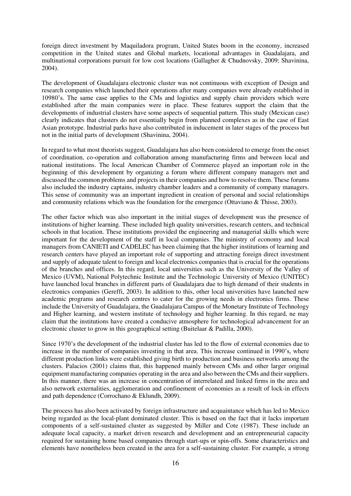foreign direct investment by Maquiladora program, United States boom in the economy, increased competition in the United states and Global markets, locational advantages in Guadalajara, and multinational corporations pursuit for low cost locations (Gallagher & Chudnovsky, 2009; Shavinina, 2004).

The development of Guadalajara electronic cluster was not continuous with exception of Design and research companies which launched their operations after many companies were already established in 10980's. The same case applies to the CMs and logistics and supply chain providers which were established after the main companies were in place. These features support the claim that the developments of industrial clusters have some aspects of sequential pattern. This study (Mexican case) clearly indicates that clusters do not essentially begin from planned complexes as in the case of East Asian prototype. Industrial parks have also contributed in inducement in later stages of the process but not in the initial parts of development (Shavinina, 2004).

In regard to what most theorists suggest, Guadalajara has also been considered to emerge from the onset of coordination, co-operation and collaboration among manufacturing firms and between local and national institutions. The local American Chamber of Commerce played an important role in the beginning of this development by organizing a forum where different company managers met and discussed the common problems and projects in their companies and how to resolve them. These forums also included the industry captains, industry chamber leaders and a community of company managers. This sense of community was an important ingredient in creation of personal and social relationships and community relations which was the foundation for the emergence (Ottaviano & Thisse, 2003).

The other factor which was also important in the initial stages of development was the presence of institutions of higher learning. These included high quality universities, research centers, and technical schools in that location. These institutions provided the engineering and managerial skills which were important for the development of the staff in local companies. The ministry of economy and local managers from CANIETI and CADELEC has been claiming that the higher institutions of learning and research centers have played an important role of supporting and attracting foreign direct investment and supply of adequate talent to foreign and local electronics companies that is crucial for the operations of the branches and offices. In this regard, local universities such as the University of the Valley of Mexico (UVM), National Polytechnic Institute and the Technologic University of Mexico (UNITEC) have launched local branches in different parts of Guadalajara due to high demand of their students in electronics companies (Gereffi, 2003). In addition to this, other local universities have launched new academic programs and research centres to cater for the growing needs in electronics firms. These include the University of Guadalajara, the Guadalajara Campus of the Monetary Institute of Technology and Higher learning, and western institute of technology and higher learning. In this regard, ne may claim that the institutions have created a conducive atmosphere for technological advancement for an electronic cluster to grow in this geographical setting (Buitelaar & Padilla, 2000).

Since 1970's the development of the industrial cluster has led to the flow of external economies due to increase in the number of companies investing in that area. This increase continued in 1990's, where different production links were established giving birth to production and business networks among the clusters. Palacios (2001) claims that, this happened mainly between CMs and other larger original equipment manufacturing companies operating in the area and also between the CMs and their suppliers. In this manner, there was an increase in concentration of interrelated and linked firms in the area and also network externalities, agglomeration and confinement of economies as a result of lock-in effects and path dependence (Corrochano & Eklundh, 2009).

The process has also been activated by foreign infrastructure and acquaintance which has led to Mexico being regarded as the local-plant dominated cluster. This is based on the fact that it lacks important components of a self-sustained cluster as suggested by Miller and Cote (1987). These include an adequate local capacity, a market driven research and development and an entrepreneurial capacity required for sustaining home based companies through start-ups or spin-offs. Some characteristics and elements have nonetheless been created in the area for a self-sustaining cluster. For example, a strong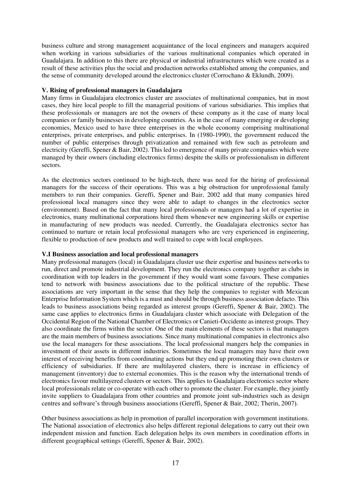business culture and strong management acquaintance of the local engineers and managers acquired when working in various subsidiaries of the various multinational companies which operated in Guadalajara. In addition to this there are physical or industrial infrastructures which were created as a result of these activities plus the social and production networks established among the companies, and the sense of community developed around the electronics cluster (Corrochano & Eklundh, 2009).

## **V. Rising of professional managers in Guadalajara**

Many firms in Guadalajara electronics cluster are associates of multinational companies, but in most cases, they hire local people to fill the managerial positions of various subsidiaries. This implies that these professionals or managers are not the owners of these company as it the case of many local companies or family businesses in developing countries. As in the case of many emerging or developing economies, Mexico used to have three enterprises in the whole economy comprising multinational enterprises, private enterprises, and public enterprises. In (1980-1990), the government reduced the number of public enterprises through privatization and remained with few such as petroleum and electricity (Gereffi, Spener & Bair, 2002). This led to emergence of many private companies which were managed by their owners (including electronics firms) despite the skills or professionalism in different sectors.

As the electronics sectors continued to be high-tech, there was need for the hiring of professional managers for the success of their operations. This was a big obstruction for unprofessional family members to run their companies. Gereffi, Spener and Bair, 2002 add that many companies hired professional local managers since they were able to adapt to changes in the electronics sector (environment). Based on the fact that many local professionals or managers had a lot of expertise in electronics, many multinational corporations hired them whenever new engineering skills or expertise in manufacturing of new products was needed. Currently, the Guadalajara electronics sector has continued to nurture or retain local professional managers who are very experienced in engineering, flexible to production of new products and well trained to cope with local employees.

#### **V.I Business association and local professional managers**

Many professional managers (local) in Guadalajara cluster use their expertise and business networks to run, direct and promote industrial development. They run the electronics company together as clubs in coordination with top leaders in the government if they would want some favours. These companies tend to network with business associations due to the political structure of the republic. These associations are very important in the sense that they help the companies to register with Mexican Enterprise Information System which is a must and should be through business association defacto. This leads to business associations being regarded as interest groups (Gereffi, Spener & Bair, 2002). The same case applies to electronics firms in Guadalajara cluster which associate with Delegation of the Occidental Region of the National Chamber of Electronics or Canieti-Occidente as interest groups. They also coordinate the firms within the sector. One of the main elements of these sectors is that managers are the main members of business associations. Since many multinational companies in electronics also use the local managers for these associations. The local professional mangers help the companies in investment of their assets in different industries. Sometimes the local managers may have their own interest of receiving benefits from coordinating actions but they end up promoting their own clusters or efficiency of subsidiaries. If there are multilayered clusters, there is increase in efficiency of management (inventory) due to external economies. This is the reason why the international trends of electronics favour multilayered clusters or sectors. This applies to Guadalajara electronics sector where local professionals relate or co-operate with each other to promote the cluster. For example, they jointly invite suppliers to Guadalajara from other countries and promote joint sub-industries such as design centres and software's through business associations (Gereffi, Spener & Bair, 2002; Therin, 2007).

Other business associations as help in promotion of parallel incorporation with government institutions. The National association of electronics also helps different regional delegations to carry out their own independent mission and function. Each delegation helps its own members in coordination efforts in different geographical settings (Gereffi, Spener & Bair, 2002).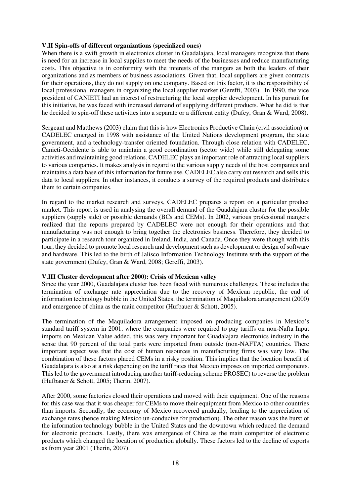# **V.II Spin-offs of different organizations (specialized ones)**

When there is a swift growth in electronics cluster in Guadalajara, local managers recognize that there is need for an increase in local supplies to meet the needs of the businesses and reduce manufacturing costs. This objective is in conformity with the interests of the mangers as both the leaders of their organizations and as members of business associations. Given that, local suppliers are given contracts for their operations, they do not supply on one company. Based on this factor, it is the responsibility of local professional managers in organizing the local supplier market (Gereffi, 2003). In 1990, the vice president of CANIETI had an interest of restructuring the local supplier development. In his pursuit for this initiative, he was faced with increased demand of supplying different products. What he did is that he decided to spin-off these activities into a separate or a different entity (Dufey, Gran & Ward, 2008).

Sergeant and Matthews (2003) claim that this is how Electronics Productive Chain (civil association) or CADELEC emerged in 1998 with assistance of the United Nations development program, the state government, and a technology-transfer oriented foundation. Through close relation with CADELEC, Canieti-Occidente is able to maintain a good coordination (sector wide) while still delegating some activities and maintaining good relations. CADELEC plays an important role of attracting local suppliers to various companies. It makes analysis in regard to the various supply needs of the host companies and maintains a data base of this information for future use. CADELEC also carry out research and sells this data to local suppliers. In other instances, it conducts a survey of the required products and distributes them to certain companies.

In regard to the market research and surveys, CADELEC prepares a report on a particular product market. This report is used in analysing the overall demand of the Guadalajara cluster for the possible suppliers (supply side) or possible demands (BCs and CEMs). In 2002, various professional mangers realized that the reports prepared by CADELEC were not enough for their operations and that manufacturing was not enough to bring together the electronics business. Therefore, they decided to participate in a research tour organized in Ireland, India, and Canada. Once they were though with this tour, they decided to promote local research and development such as development or design of software and hardware. This led to the birth of Jalisco Information Technology Institute with the support of the state government (Dufey, Gran & Ward, 2008; Gereffi, 2003).

# **V.III Cluster development after 2000): Crisis of Mexican valley**

Since the year 2000, Guadalajara cluster has been faced with numerous challenges. These includes the termination of exchange rate appreciation due to the recovery of Mexican republic, the end of information technology bubble in the United States, the termination of Maquiladora arrangement (2000) and emergence of china as the main competitor (Hufbauer & Schott, 2005).

The termination of the Maquiladora arrangement imposed on producing companies in Mexico's standard tariff system in 2001, where the companies were required to pay tariffs on non-Nafta Input imports on Mexican Value added, this was very important for Guadalajara electronics industry in the sense that 90 percent of the total parts were imported from outside (non-NAFTA) countries. There important aspect was that the cost of human resources in manufacturing firms was very low. The combination of these factors placed CEMs in a risky position. This implies that the location benefit of Guadalajara is also at a risk depending on the tariff rates that Mexico imposes on imported components. This led to the government introducing another tariff-reducing scheme PROSEC) to reverse the problem (Hufbauer & Schott, 2005; Therin, 2007).

After 2000, some factories closed their operations and moved with their equipment. One of the reasons for this case was that it was cheaper for CEMs to move their equipment from Mexico to other countries than imports. Secondly, the economy of Mexico recovered gradually, leading to the appreciation of exchange rates (hence making Mexico un-conducive for production). The other reason was the burst of the information technology bubble in the United States and the downtown which reduced the demand for electronic products. Lastly, there was emergence of China as the main competitor of electronic products which changed the location of production globally. These factors led to the decline of exports as from year 2001 (Therin, 2007).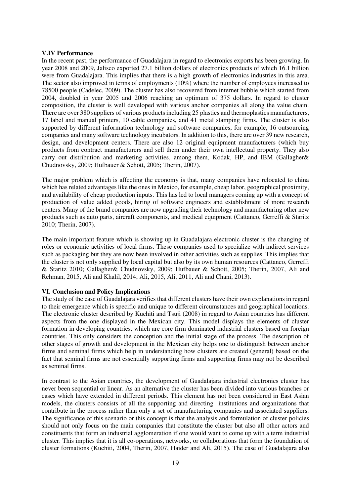## **V.IV Performance**

In the recent past, the performance of Guadalajara in regard to electronics exports has been growing. In year 2008 and 2009, Jalisco exported 27.1 billion dollars of electronics products of which 16.1 billion were from Guadalajara. This implies that there is a high growth of electronics industries in this area. The sector also improved in terms of employments (10%) where the number of employees increased to 78500 people (Cadelec, 2009). The cluster has also recovered from internet bubble which started from 2004, doubled in year 2005 and 2006 reaching an optimum of 375 dollars. In regard to cluster composition, the cluster is well developed with various anchor companies all along the value chain. There are over 380 suppliers of various products including 25 plastics and thermoplastics manufacturers, 17 label and manual printers, 10 cable companies, and 41 metal stamping firms. The cluster is also supported by different information technology and software companies, for example, 16 outsourcing companies and many software technology incubators. In addition to this, there are over 39 new research, design, and development centers. There are also 12 original equipment manufacturers (which buy products from contract manufacturers and sell them under their own intellectual property. They also carry out distribution and marketing activities, among them, Kodak, HP, and IBM (Gallagher& Chudnovsky, 2009; Hufbauer & Schott, 2005; Therin, 2007).

The major problem which is affecting the economy is that, many companies have relocated to china which has related advantages like the ones in Mexico, for example, cheap labor, geographical proximity, and availability of cheap production inputs. This has led to local managers coming up with a concept of production of value added goods, hiring of software engineers and establishment of more research centers. Many of the brand companies are now upgrading their technology and manufacturing other new products such as auto parts, aircraft components, and medical equipment (Cattaneo, Gerreffi & Staritz 2010; Therin, 2007).

The main important feature which is showing up in Guadalajara electronic cluster is the changing of roles or economic activities of local firms. These companies used to specialize with indirect services such as packaging but they are now been involved in other activities such as supplies. This implies that the cluster is not only supplied by local capital but also by its own human resources (Cattaneo, Gerreffi & Staritz 2010; Gallagher& Chudnovsky, 2009; Hufbauer & Schott, 2005; Therin, 2007, Ali and Rehman, 2015, Ali and Khalil, 2014, Ali, 2015, Ali, 2011, Ali and Chani, 2013).

# **VI. Conclusion and Policy Implications**

The study of the case of Guadalajara verifies that different clusters have their own explanations in regard to their emergence which is specific and unique to different circumstances and geographical locations. The electronic cluster described by Kuchiti and Tsuji (2008) in regard to Asian countries has different aspects from the one displayed in the Mexican city. This model displays the elements of cluster formation in developing countries, which are core firm dominated industrial clusters based on foreign countries. This only considers the conception and the initial stage of the process. The description of other stages of growth and development in the Mexican city helps one to distinguish between anchor firms and seminal firms which help in understanding how clusters are created (general) based on the fact that seminal firms are not essentially supporting firms and supporting firms may not be described as seminal firms.

In contrast to the Asian countries, the development of Guadalajara industrial electronics cluster has never been sequential or linear. As an alternative the cluster has been divided into various branches or cases which have extended in different periods. This element has not been considered in East Asian models, the clusters consists of all the supporting and directing institutions and organizations that contribute in the process rather than only a set of manufacturing companies and associated suppliers. The significance of this scenario or this concept is that the analysis and formulation of cluster policies should not only focus on the main companies that constitute the cluster but also all other actors and constituents that form an industrial agglomeration if one would want to come up with a term industrial cluster. This implies that it is all co-operations, networks, or collaborations that form the foundation of cluster formations (Kuchiti, 2004, Therin, 2007, Haider and Ali, 2015). The case of Guadalajara also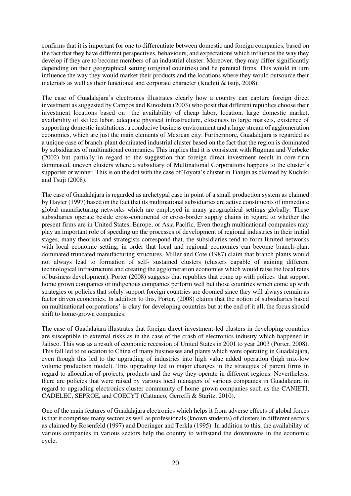confirms that it is important for one to differentiate between domestic and foreign companies, based on the fact that they have different perspectives, behaviours, and expectations which influence the way they develop if they are to become members of an industrial cluster. Moreover, they may differ significantly depending on their geographical setting (original countries) and he parental firms. This would in turn influence the way they would market their products and the locations where they would outsource their materials as well as their functional and corporate character (Kuchiti & tsuji, 2008).

The case of Guadalajara's electronics illustrates clearly how a country can capture foreign direct investment as suggested by Campos and Kinoshita (2003) who posit that different republics choose their investment locations based on the availability of cheap labor, location, large domestic market, availability of skilled labor, adequate physical infrastructure, closeness to large markets, existence of supporting domestic institutions, a conducive business environment and a large stream of agglomeration economies, which are just the main elements of Mexican city. Furthermore, Guadalajara is regarded as a unique case of branch-plant dominated industrial cluster based on the fact that the region is dominated by subsidiaries of multinational companies. This implies that it is consistent with Rugman and Verbeke (2002) but partially in regard to the suggestion that foreign direct investment result in core-firm dominated, uneven clusters where a subsidiary of Multinational Corporations happens to the cluster's supporter or winner. This is on the dot with the case of Toyota's cluster in Tianjin as claimed by Kuchiki and Tsuji (2008).

The case of Guadalajara is regarded as archetypal case in point of a small production system as claimed by Hayter (1997) based on the fact that its multinational subsidiaries are active constituents of immediate global manufacturing networks which are employed in many geographical settings globally. These subsidiaries operate beside cross-continental or cross-border supply chains in regard to whether the present firms are in United States, Europe, or Asia Pacific. Even though multinational companies may play an important role of speeding up the processes of development of regional industries in their initial stages, many theorists and strategists correspond that, the subsidiaries tend to form limited networks with local economic setting, in order that local and regional economies can become branch-plant dominated truncated manufacturing structures. Miller and Cote (1987) claim that branch plants would not always lead to formation of self- sustained clusters (clusters capable of gaining different technological infrastructure and creating the agglomeration economies which would raise the local rates of business development). Porter (2008) suggests that republics that come up with polices that support home grown companies or indigenous companies perform well but those countries which come up with strategies or policies that solely support foreign countries are doomed since they will always remain as factor driven economies. In addition to this, Porter, (2008) claims that the notion of subsidiaries based on multinational corporations' is okay for developing countries but at the end of it all, the focus should shift to home-grown companies.

The case of Guadalajara illustrates that foreign direct investment-led clusters in developing countries are susceptible to external risks as in the case of the crash of electronics industry which happened in Jalisco. This was as a result of economic recession of United States in 2001 to year 2003 (Porter, 2008). This fall led to relocation to China of many businesses and plants which were operating in Guadalajara, even though this led to the upgrading of industries into high value added operation (high mix-low volume production model). This upgrading led to major changes in the strategies of parent firms in regard to allocation of projects, products and the way they operate in different regions. Nevertheless, there are policies that were raised by various local managers of various companies in Guadalajara in regard to upgrading electronics cluster community of home-grown companies such as the CANIETI, CADELEC, SEPROE, and COECYT (Cattaneo, Gerreffi & Staritz, 2010).

One of the main features of Guadalajara electronics which helps it from adverse effects of global forces is that it comprises many sectors as well as professionals (known students) of clusters in different sectors as claimed by Rosenfeld (1997) and Doeringer and Terkla (1995). In addition to this, the availability of various companies in various sectors help the country to withstand the downtowns in the economic cycle.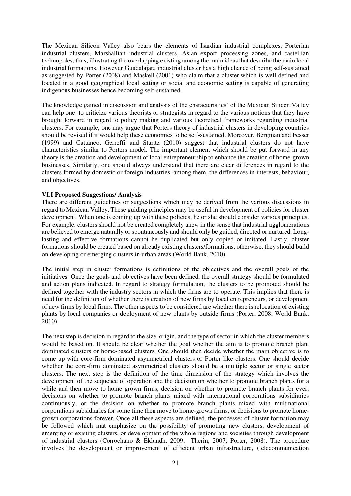The Mexican Silicon Valley also bears the elements of Isardian industrial complexes, Porterian industrial clusters, Marshallian industrial clusters, Asian export processing zones, and castellian technopoles, thus, illustrating the overlapping existing among the main ideas that describe the main local industrial formations. However Guadalajara industrial cluster has a high chance of being self-sustained as suggested by Porter (2008) and Maskell (2001) who claim that a cluster which is well defined and located in a good geographical local setting or social and economic setting is capable of generating indigenous businesses hence becoming self-sustained.

The knowledge gained in discussion and analysis of the characteristics' of the Mexican Silicon Valley can help one to criticize various theorists or strategists in regard to the various notions that they have brought forward in regard to policy making and various theoretical frameworks regarding industrial clusters. For example, one may argue that Porters theory of industrial clusters in developing countries should be revised if it would help these economies to be self-sustained. Moreover, Bergman and Fesser (1999) and Cattaneo, Gerreffi and Staritz (2010) suggest that industrial clusters do not have characteristics similar to Porters model. The important element which should be put forward in any theory is the creation and development of local entrepreneurship to enhance the creation of home-grown businesses. Similarly, one should always understand that there are clear differences in regard to the clusters formed by domestic or foreign industries, among them, the differences in interests, behaviour, and objectives.

# **VI.I Proposed Suggestions/ Analysis**

There are different guidelines or suggestions which may be derived from the various discussions in regard to Mexican Valley. These guiding principles may be useful in development of policies for cluster development. When one is coming up with these policies, he or she should consider various principles. For example, clusters should not be created completely anew in the sense that industrial agglomerations are believed to emerge naturally or spontaneously and should only be guided, directed or nurtured. Longlasting and effective formations cannot be duplicated but only copied or imitated. Lastly, cluster formations should be created based on already existing clusters/formations, otherwise, they should build on developing or emerging clusters in urban areas (World Bank, 2010).

The initial step in cluster formations is definitions of the objectives and the overall goals of the initiatives. Once the goals and objectives have been defined, the overall strategy should be formulated and action plans indicated. In regard to strategy formulation, the clusters to be promoted should be defined together with the industry sectors in which the firms are to operate. This implies that there is need for the definition of whether there is creation of new firms by local entrepreneurs, or development of new firms by local firms. The other aspects to be considered are whether there is relocation of existing plants by local companies or deployment of new plants by outside firms (Porter, 2008; World Bank, 2010).

The next step is decision in regard to the size, origin, and the type of sector in which the cluster members would be based on. It should be clear whether the goal whether the aim is to promote branch plant dominated clusters or home-based clusters. One should then decide whether the main objective is to come up with core-firm dominated asymmetrical clusters or Porter like clusters. One should decide whether the core-firm dominated asymmetrical clusters should be a multiple sector or single sector clusters. The next step is the definition of the time dimension of the strategy which involves the development of the sequence of operation and the decision on whether to promote branch plants for a while and then move to home grown firms, decision on whether to promote branch plants for ever, decisions on whether to promote branch plants mixed with international corporations subsidiaries continuously, or the decision on whether to promote branch plants mixed with multinational corporations subsidiaries for some time then move to home-grown firms, or decisions to promote homegrown corporations forever. Once all these aspects are defined, the processes of cluster formation may be followed which mat emphasize on the possibility of promoting new clusters, development of emerging or existing clusters, or development of the whole regions and societies through development of industrial clusters (Corrochano & Eklundh, 2009; Therin, 2007; Porter, 2008). The procedure involves the development or improvement of efficient urban infrastructure, (telecommunication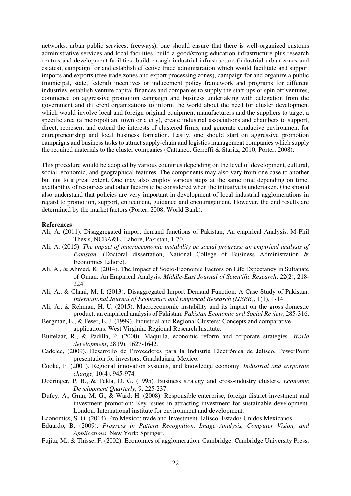networks, urban public services, freeways), one should ensure that there is well-organized customs administrative services and local facilities, build a good/strong education infrastructure plus research centres and development facilities, build enough industrial infrastructure (industrial urban zones and estates), campaign for and establish effective trade administration which would facilitate and support imports and exports (free trade zones and export processing zones), campaign for and organize a public (municipal, state, federal) incentives or inducement policy framework and programs for different industries, establish venture capital finances and companies to supply the start-ups or spin off ventures, commence on aggressive promotion campaign and business undertaking with delegation from the government and different organizations to inform the world about the need for cluster development which would involve local and foreign original equipment manufacturers and the suppliers to target a specific area (a metropolitan, town or a city), create industrial associations and chambers to support, direct, represent and extend the interests of clustered firms, and generate conducive environment for entrepreneurship and local business formation. Lastly, one should start on aggressive promotion campaigns and business tasks to attract supply-chain and logistics management companies which supply the required materials to the cluster companies (Cattaneo, Gerreffi & Staritz, 2010; Porter, 2008).

This procedure would be adopted by various countries depending on the level of development, cultural, social, economic, and geographical features. The components may also vary from one case to another but not to a great extent. One may also employ various steps at the same time depending on time, availability of resources and other factors to be considered when the initiative is undertaken. One should also understand that policies are very important in development of local industrial agglomerations in regard to promotion, support, enticement, guidance and encouragement. However, the end results are determined by the market factors (Porter, 2008; World Bank).

#### **References**

- Ali, A. (2011). Disaggregated import demand functions of Pakistan; An empirical Analysis. M-Phil Thesis, NCBA&E, Lahore, Pakistan, 1-70.
- Ali, A. (2015). *The impact of macroeconomic instability on social progress: an empirical analysis of Pakistan*. (Doctoral dissertation, National College of Business Administration & Economics Lahore).
- Ali, A., & Ahmad, K. (2014). The Impact of Socio-Economic Factors on Life Expectancy in Sultanate of Oman: An Empirical Analysis. *Middle-East Journal of Scientific Research*, 22(2), 218- 224.
- Ali, A., & Chani, M. I. (2013). Disaggregated Import Demand Function: A Case Study of Pakistan. *International Journal of Economics and Empirical Research (IJEER)*, 1(1), 1-14.
- Ali, A., & Rehman, H. U. (2015). Macroeconomic instability and its impact on the gross domestic product: an empirical analysis of Pakistan. *Pakistan Economic and Social Review*, 285-316.
- Bergman, E., & Feser, E. J. (1999). Industrial and Regional Clusters: Concepts and comparative applications. West Virginia: Regional Research Institute.
- Buitelaar, R., & Padilla, P. (2000). Maquilla, economic reform and corporate strategies. *World development*, 28 (9), 1627-1642.
- Cadelec, (2009). Desarrollo de Proveedores para la Industria Electrónica de Jalisco, PowerPoint presentation for investors, Guadalajara, Mexico.
- Cooke, P. (2001). Regional innovation systems, and knowledge economy. *Industrial and corporate change,* 10(4), 945-974*.*
- Doeringer, P. B., & Tekla, D. G. (1995). Business strategy and cross-industry clusters. *Economic Development Quarterly*, 9, 225-237.
- Dufey, A., Gran, M. G., & Ward, H. (2008). Responsible enterprise, foreign district investment and investment promotion: Key issues in attracting investment for sustainable development. London: International institute for environment and development.
- Economics, S. O. (2014). Pro Mexico: trade and Investment. Jalisco: Estados Unidos Mexicanos.
- Eduardo, B. (2009). *Progress in Pattern Recognition, Image Analysis, Computer Vision, and Applications.* New York: Springer.
- Fujita, M., & Thisse, F. (2002). Economics of agglomeration. Cambridge: Cambridge University Press.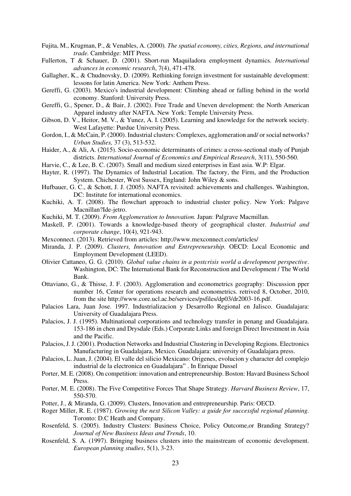- Fujita, M., Krugman, P., & Venables, A. (2000)*. The spatial economy, cities, Regions, and international trade.* Cambridge: MIT Press.
- Fullerton, T & Schauer, D. (2001). Short-run Maquiladora employment dynamics. *International advances in economic research*, 7(4), 471-478.
- Gallagher, K., & Chudnovsky, D. (2009). Rethinking foreign investment for sustainable development: lessons for latin America. New York: Anthem Press.
- Gereffi, G. (2003). Mexico's industrial development: Climbing ahead or falling behind in the world economy. Stanford: University Press.
- Gereffi, G., Spener, D., & Bair, J. (2002). Free Trade and Uneven development: the North American Apparel industry after NAFTA. New York: Temple University Press.
- Gibson, D. V., Heitor, M. V., & Yunez, A. I. (2005). Learning and knowledge for the network society. West Lafayette: Purdue University Press.
- Gordon, I., & McCain, P. (2000). Industrial clusters: Complexes, agglomeration and/ or social networks? *Urban Studies,* 37 (3), 513-532.
- Haider, A., & Ali, A. (2015). Socio-economic determinants of crimes: a cross-sectional study of Punjab districts. *International Journal of Economics and Empirical Research*, 3(11), 550-560.
- Harvie, C., & Lee, B. C. (2007). Small and medium sized enterprises in East asia. W.P: Elgar.
- Hayter, R. (1997). The Dynamics of Industrial Location. The factory, the Firm, and the Production System. Chichester, West Sussex, England: John Wiley & sons.
- Hufbauer, G. C., & Schott, J. J. (2005). NAFTA revisited: achievements and challenges. Washington, DC: Institute for international economics.
- Kuchiki, A. T. (2008). The flowchart approach to industrial cluster policy. New York: Palgave Macnillan?Ide-jetro.
- Kuchiki, M. T. (2009). *From Agglomeration to Innovation.* Japan: Palgrave Macmillan.
- Maskell, P. (2001). Towards a knowledge-based theory of geographical cluster. *Industrial and corporate change*, 10(4), 921-943.
- Mexconnect. (2013). Retrieved from articles: http://www.mexconnect.com/articles/
- Miranda, J. P. (2009). *Clusters, Innovation and Entrepreneurship.* OECD: Local Economic and Employment Development (LEED).
- Olivier Cattaneo, G. G. (2010). *Global value chains in a postcrisis world a development perspective.* Washington, DC: The International Bank for Reconstruction and Development / The World Bank.
- Ottaviano, G., & Thisse, J. F. (2003). Agglomeration and econometrics geography: Discussion pper number 16, Center for operations research and econometrics. retrived 8, October, 2010, from the site http://www.core.ucl.ac.be/services/psfiles/dp03/dr2003-16.pdf.
- Palacios Lara, Juan Jose. 1997. Industrializacion y Desarrollo Regional en Jalisco. Guadalajara: University of Guadalajara Press.
- Palacios, J. J. (1995). Multinational corporations and technology transfer in penang and Guadalajara. 153-186 in chen and Drysdale (Eds.) Corporate Links and foreign Direct Investment in Asia and the Pacific.
- Palacios, J. J. (2001). Production Networks and Industrial Clustering in Developing Regions. Electronics Manufacturing in Guadalajara, Mexico. Guadalajara: university of Guadalajara press.
- Palacios, L. Juan, J. (2004). El valle del silicio Mexicano: Origenes, evolucion y character del complejo industrial de la electronica en Guadalajara" . In Enrique Dussel
- Porter, M. E. (2008). On competition: innovation and entrepreneurship. Boston: Havard Business School Press.
- Porter, M. E. (2008). The Five Competitive Forces That Shape Strategy. *Harvard Business Review*, 17, 550-570.
- Potter, J., & Miranda, G. (2009). Clusters, Innovation and entrepreneurship. Paris: OECD.
- Roger Miller, R. E. (1987). *Growing the next Silicon Valley: a guide for successful regional planning.* Toronto: D.C Heath and Company.
- Rosenfeld, S. (2005). Industry Clusters: Business Choice, Policy Outcome,or Branding Strategy? *Journal of New Business Ideas and Trends*, 10.
- Rosenfeld, S. A. (1997). Bringing business clusters into the mainstream of economic development. *European planning studies*, 5(1), 3-23.